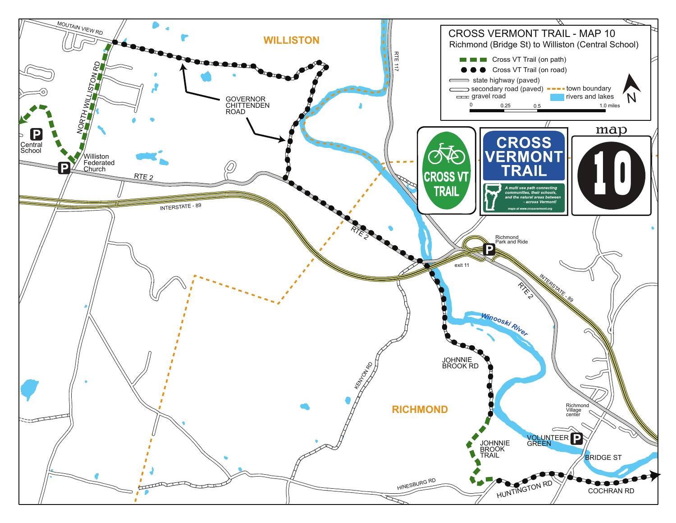